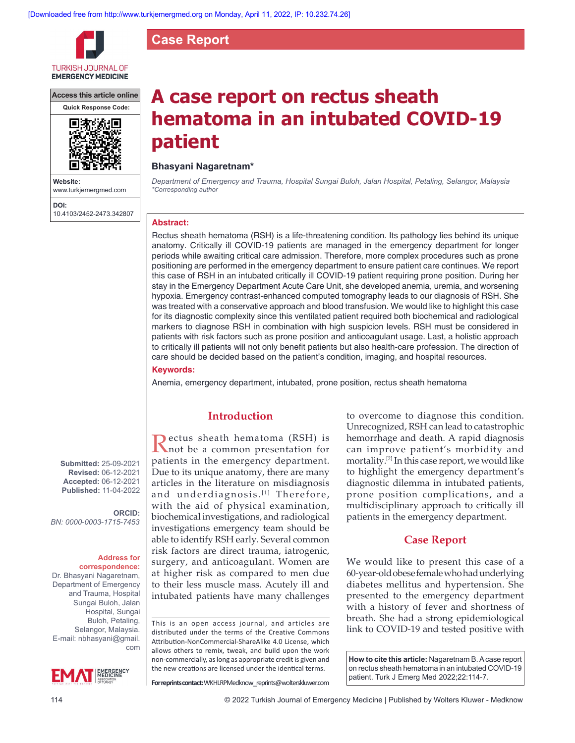**Case Report**



**Access this article online**



**Website:** www.turkjemergmed.com **DOI:** 10.4103/2452-2473.342807

# **A case report on rectus sheath hematoma in an intubated COVID-19 patient**

## **Bhasyani Nagaretnam\***

*Department of Emergency and Trauma, Hospital Sungai Buloh, Jalan Hospital, Petaling, Selangor, Malaysia \*Corresponding author*

#### **Abstract:**

Rectus sheath hematoma (RSH) is a life-threatening condition. Its pathology lies behind its unique anatomy. Critically ill COVID-19 patients are managed in the emergency department for longer periods while awaiting critical care admission. Therefore, more complex procedures such as prone positioning are performed in the emergency department to ensure patient care continues. We report this case of RSH in an intubated critically ill COVID-19 patient requiring prone position. During her stay in the Emergency Department Acute Care Unit, she developed anemia, uremia, and worsening hypoxia. Emergency contrast‑enhanced computed tomography leads to our diagnosis of RSH. She was treated with a conservative approach and blood transfusion. We would like to highlight this case for its diagnostic complexity since this ventilated patient required both biochemical and radiological markers to diagnose RSH in combination with high suspicion levels. RSH must be considered in patients with risk factors such as prone position and anticoagulant usage. Last, a holistic approach to critically ill patients will not only benefit patients but also health-care profession. The direction of care should be decided based on the patient's condition, imaging, and hospital resources.

## **Keywords:**

Anemia, emergency department, intubated, prone position, rectus sheath hematoma

### **Introduction**

Rectus sheath hematoma (RSH) is not be a common presentation for patients in the emergency department. Due to its unique anatomy, there are many articles in the literature on misdiagnosis and underdiagnosis.<sup>[1]</sup> Therefore, with the aid of physical examination, biochemical investigations, and radiological investigations emergency team should be able to identify RSH early. Several common risk factors are direct trauma, iatrogenic, surgery, and anticoagulant. Women are at higher risk as compared to men due to their less muscle mass. Acutely ill and intubated patients have many challenges

This is an open access journal, and articles are distributed under the terms of the Creative Commons Attribution‑NonCommercial‑ShareAlike 4.0 License, which allows others to remix, tweak, and build upon the work non‑commercially, as long as appropriate credit is given and the new creations are licensed under the identical terms.

**For reprints contact:** WKHLRPMedknow\_reprints@wolterskluwer.com

to overcome to diagnose this condition. Unrecognized, RSH can lead to catastrophic hemorrhage and death. A rapid diagnosis can improve patient's morbidity and mortality.[2] In this case report, we would like to highlight the emergency department's diagnostic dilemma in intubated patients, prone position complications, and a multidisciplinary approach to critically ill patients in the emergency department.

## **Case Report**

We would like to present this case of a 60‑year‑old obese female who had underlying diabetes mellitus and hypertension. She presented to the emergency department with a history of fever and shortness of breath. She had a strong epidemiological link to COVID‑19 and tested positive with

**How to cite this article:** Nagaretnam B. A case report on rectus sheath hematoma in an intubated COVID-19 patient. Turk J Emerg Med 2022;22:114-7.

**Submitted:** 25-09-2021 **Revised:** 06-12-2021 **Accepted:** 06-12-2021 **Published:** 11-04-2022

**ORCID:** *BN: 0000‑0003‑1715‑7453*

#### **Address for correspondence:**

Dr. Bhasyani Nagaretnam, Department of Emergency and Trauma, Hospital Sungai Buloh, Jalan Hospital, Sungai Buloh, Petaling, Selangor, Malaysia. E-mail: nbhasyani@gmail. com

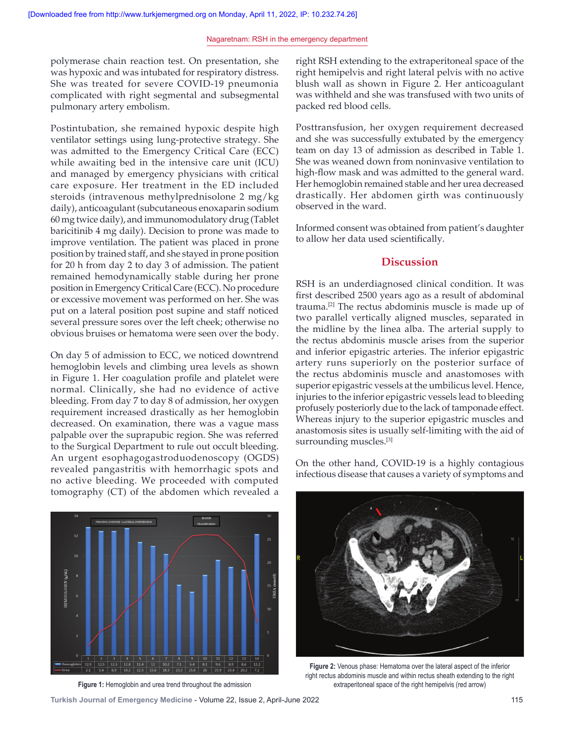polymerase chain reaction test. On presentation, she was hypoxic and was intubated for respiratory distress. She was treated for severe COVID-19 pneumonia complicated with right segmental and subsegmental pulmonary artery embolism.

Postintubation, she remained hypoxic despite high ventilator settings using lung‑protective strategy. She was admitted to the Emergency Critical Care (ECC) while awaiting bed in the intensive care unit (ICU) and managed by emergency physicians with critical care exposure. Her treatment in the ED included steroids (intravenous methylprednisolone 2 mg/kg daily), anticoagulant (subcutaneous enoxaparin sodium 60 mg twice daily), and immunomodulatory drug (Tablet baricitinib 4 mg daily). Decision to prone was made to improve ventilation. The patient was placed in prone position by trained staff, and she stayed in prone position for 20 h from day 2 to day 3 of admission. The patient remained hemodynamically stable during her prone position in Emergency Critical Care (ECC). No procedure or excessive movement was performed on her. She was put on a lateral position post supine and staff noticed several pressure sores over the left cheek; otherwise no obvious bruises or hematoma were seen over the body.

On day 5 of admission to ECC, we noticed downtrend hemoglobin levels and climbing urea levels as shown in Figure 1. Her coagulation profile and platelet were normal. Clinically, she had no evidence of active bleeding. From day 7 to day 8 of admission, her oxygen requirement increased drastically as her hemoglobin decreased. On examination, there was a vague mass palpable over the suprapubic region. She was referred to the Surgical Department to rule out occult bleeding. An urgent esophagogastroduodenoscopy (OGDS) revealed pangastritis with hemorrhagic spots and no active bleeding. We proceeded with computed tomography (CT) of the abdomen which revealed a



**Figure 1:** Hemoglobin and urea trend throughout the admission

right RSH extending to the extraperitoneal space of the right hemipelvis and right lateral pelvis with no active blush wall as shown in Figure 2. Her anticoagulant was withheld and she was transfused with two units of packed red blood cells.

Posttransfusion, her oxygen requirement decreased and she was successfully extubated by the emergency team on day 13 of admission as described in Table 1. She was weaned down from noninvasive ventilation to high-flow mask and was admitted to the general ward. Her hemoglobin remained stable and her urea decreased drastically. Her abdomen girth was continuously observed in the ward.

Informed consent was obtained from patient's daughter to allow her data used scientifically.

## **Discussion**

RSH is an underdiagnosed clinical condition. It was first described 2500 years ago as a result of abdominal trauma.[2] The rectus abdominis muscle is made up of two parallel vertically aligned muscles, separated in the midline by the linea alba. The arterial supply to the rectus abdominis muscle arises from the superior and inferior epigastric arteries. The inferior epigastric artery runs superiorly on the posterior surface of the rectus abdominis muscle and anastomoses with superior epigastric vessels at the umbilicus level. Hence, injuries to the inferior epigastric vessels lead to bleeding profusely posteriorly due to the lack of tamponade effect. Whereas injury to the superior epigastric muscles and anastomosis sites is usually self‑limiting with the aid of surrounding muscles.<sup>[3]</sup>

On the other hand, COVID‑19 is a highly contagious infectious disease that causes a variety of symptoms and



**Figure 2:** Venous phase: Hematoma over the lateral aspect of the inferior right rectus abdominis muscle and within rectus sheath extending to the right extraperitoneal space of the right hemipelvis (red arrow)

**Turkish Journal of Emergency Medicine** - Volume 22, Issue 2, April-June 2022 115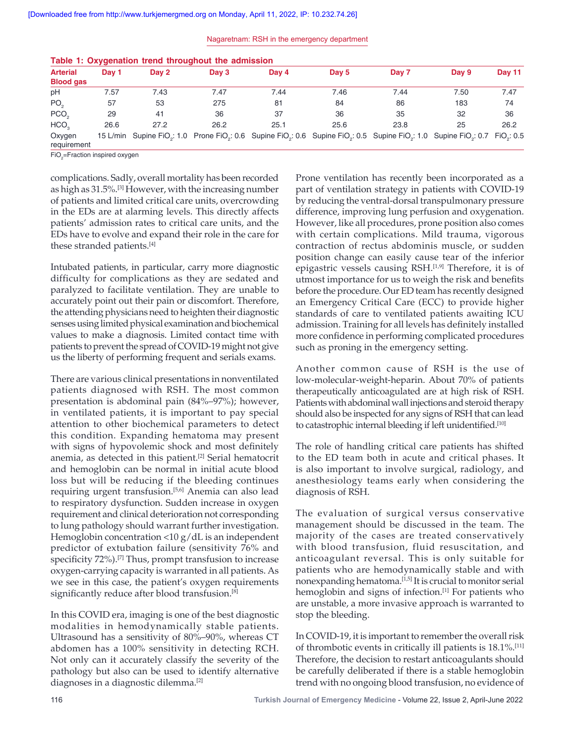| Nagaretnam: RSH in the emergency department |  |  |  |  |
|---------------------------------------------|--|--|--|--|
|---------------------------------------------|--|--|--|--|

| Table 1: Oxygenation trend throughout the admission |       |                                                                                                                                                                                             |         |       |       |       |       |                |
|-----------------------------------------------------|-------|---------------------------------------------------------------------------------------------------------------------------------------------------------------------------------------------|---------|-------|-------|-------|-------|----------------|
| <b>Arterial</b><br><b>Blood gas</b>                 | Dav 1 | Day 2                                                                                                                                                                                       | Day $3$ | Day 4 | Day 5 | Day 7 | Day 9 | <b>Day 11</b>  |
| pH                                                  | 7.57  | 7.43                                                                                                                                                                                        | 7.47    | 7.44  | 7.46  | 7.44  | 7.50  | 7.47           |
| PO <sub>o</sub>                                     | 57    | 53                                                                                                                                                                                          | 275     | 81    | 84    | 86    | 183   | 74             |
| PCO <sub>2</sub>                                    | 29    | 41                                                                                                                                                                                          | 36      | 37    | 36    | 35    | 32    | 36             |
| HCO,                                                | 26.6  | 27.2                                                                                                                                                                                        | 26.2    | 25.1  | 25.6  | 23.8  | 25    | 26.2           |
| Oxygen<br>requirement                               |       | 15 L/min Supine FiO <sub>s</sub> : 1.0 Prone FiO <sub>s</sub> : 0.6 Supine FiO <sub>s</sub> : 0.6 Supine FiO <sub>s</sub> : 0.5 Supine FiO <sub>s</sub> : 1.0 Supine FiO <sub>s</sub> : 0.7 |         |       |       |       |       | $FiO_{2}: 0.5$ |

|  | ahle 1: Oxygenation trend throughout the admiss |  |  |
|--|-------------------------------------------------|--|--|

FiO<sub>2</sub>=Fraction inspired oxygen

complications. Sadly, overall mortality has been recorded as high as 31.5%.[3] However, with the increasing number of patients and limited critical care units, overcrowding in the EDs are at alarming levels. This directly affects patients' admission rates to critical care units, and the EDs have to evolve and expand their role in the care for these stranded patients.[4]

Intubated patients, in particular, carry more diagnostic difficulty for complications as they are sedated and paralyzed to facilitate ventilation. They are unable to accurately point out their pain or discomfort. Therefore, the attending physicians need to heighten their diagnostic senses using limited physical examination and biochemical values to make a diagnosis. Limited contact time with patients to prevent the spread of COVID‑19 might not give us the liberty of performing frequent and serials exams.

There are various clinical presentations in nonventilated patients diagnosed with RSH. The most common presentation is abdominal pain (84%–97%); however, in ventilated patients, it is important to pay special attention to other biochemical parameters to detect this condition. Expanding hematoma may present with signs of hypovolemic shock and most definitely anemia, as detected in this patient.<sup>[2]</sup> Serial hematocrit and hemoglobin can be normal in initial acute blood loss but will be reducing if the bleeding continues requiring urgent transfusion.[5,6] Anemia can also lead to respiratory dysfunction. Sudden increase in oxygen requirement and clinical deterioration not corresponding to lung pathology should warrant further investigation. Hemoglobin concentration <10 g/dL is an independent predictor of extubation failure (sensitivity 76% and specificity 72%).<sup>[7]</sup> Thus, prompt transfusion to increase oxygen‑carrying capacity is warranted in all patients. As we see in this case, the patient's oxygen requirements significantly reduce after blood transfusion.<sup>[8]</sup>

In this COVID era, imaging is one of the best diagnostic modalities in hemodynamically stable patients. Ultrasound has a sensitivity of 80%–90%, whereas CT abdomen has a 100% sensitivity in detecting RCH. Not only can it accurately classify the severity of the pathology but also can be used to identify alternative diagnoses in a diagnostic dilemma.[2]

Prone ventilation has recently been incorporated as a part of ventilation strategy in patients with COVID-19 by reducing the ventral‑dorsal transpulmonary pressure difference, improving lung perfusion and oxygenation. However, like all procedures, prone position also comes with certain complications. Mild trauma, vigorous contraction of rectus abdominis muscle, or sudden position change can easily cause tear of the inferior epigastric vessels causing RSH.<sup>[1,9]</sup> Therefore, it is of utmost importance for us to weigh the risk and benefits before the procedure. Our ED team has recently designed an Emergency Critical Care (ECC) to provide higher standards of care to ventilated patients awaiting ICU admission. Training for all levels has definitely installed more confidence in performing complicated procedures such as proning in the emergency setting.

Another common cause of RSH is the use of low-molecular-weight-heparin. About 70% of patients therapeutically anticoagulated are at high risk of RSH. Patients with abdominal wall injections and steroid therapy should also be inspected for any signs of RSH that can lead to catastrophic internal bleeding if left unidentified.<sup>[10]</sup>

The role of handling critical care patients has shifted to the ED team both in acute and critical phases. It is also important to involve surgical, radiology, and anesthesiology teams early when considering the diagnosis of RSH.

The evaluation of surgical versus conservative management should be discussed in the team. The majority of the cases are treated conservatively with blood transfusion, fluid resuscitation, and anticoagulant reversal. This is only suitable for patients who are hemodynamically stable and with nonexpanding hematoma.[1,5] It is crucial to monitor serial hemoglobin and signs of infection.<sup>[1]</sup> For patients who are unstable, a more invasive approach is warranted to stop the bleeding.

In COVID‑19, it is important to remember the overall risk of thrombotic events in critically ill patients is 18.1%.[11] Therefore, the decision to restart anticoagulants should be carefully deliberated if there is a stable hemoglobin trend with no ongoing blood transfusion, no evidence of